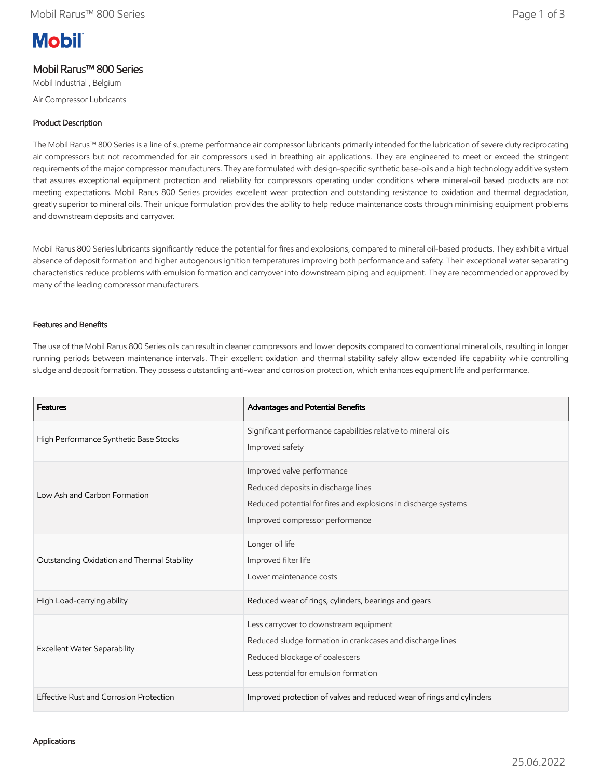# **Mobil**

# Mobil Rarus™ 800 Series

Mobil Industrial , Belgium Air Compressor Lubricants

## Product Description

The Mobil Rarus™ 800 Series is a line of supreme performance air compressor lubricants primarily intended for the lubrication of severe duty reciprocating air compressors but not recommended for air compressors used in breathing air applications. They are engineered to meet or exceed the stringent requirements of the major compressor manufacturers. They are formulated with design-specific synthetic base-oils and a high technology additive system that assures exceptional equipment protection and reliability for compressors operating under conditions where mineral-oil based products are not meeting expectations. Mobil Rarus 800 Series provides excellent wear protection and outstanding resistance to oxidation and thermal degradation, greatly superior to mineral oils. Their unique formulation provides the ability to help reduce maintenance costs through minimising equipment problems and downstream deposits and carryover.

Mobil Rarus 800 Series lubricants significantly reduce the potential for fires and explosions, compared to mineral oil-based products. They exhibit a virtual absence of deposit formation and higher autogenous ignition temperatures improving both performance and safety. Their exceptional water separating characteristics reduce problems with emulsion formation and carryover into downstream piping and equipment. They are recommended or approved by many of the leading compressor manufacturers.

### Features and Benefits

The use of the Mobil Rarus 800 Series oils can result in cleaner compressors and lower deposits compared to conventional mineral oils, resulting in longer running periods between maintenance intervals. Their excellent oxidation and thermal stability safely allow extended life capability while controlling sludge and deposit formation. They possess outstanding anti-wear and corrosion protection, which enhances equipment life and performance.

| <b>Features</b>                             | Advantages and Potential Benefits                                                                                                                                               |
|---------------------------------------------|---------------------------------------------------------------------------------------------------------------------------------------------------------------------------------|
| High Performance Synthetic Base Stocks      | Significant performance capabilities relative to mineral oils<br>Improved safety                                                                                                |
| Low Ash and Carbon Formation                | Improved valve performance<br>Reduced deposits in discharge lines<br>Reduced potential for fires and explosions in discharge systems<br>Improved compressor performance         |
| Outstanding Oxidation and Thermal Stability | Longer oil life<br>Improved filter life<br>Lower maintenance costs                                                                                                              |
| High Load-carrying ability                  | Reduced wear of rings, cylinders, bearings and gears                                                                                                                            |
| <b>Excellent Water Separability</b>         | Less carryover to downstream equipment<br>Reduced sludge formation in crankcases and discharge lines<br>Reduced blockage of coalescers<br>Less potential for emulsion formation |
| Effective Rust and Corrosion Protection     | Improved protection of valves and reduced wear of rings and cylinders                                                                                                           |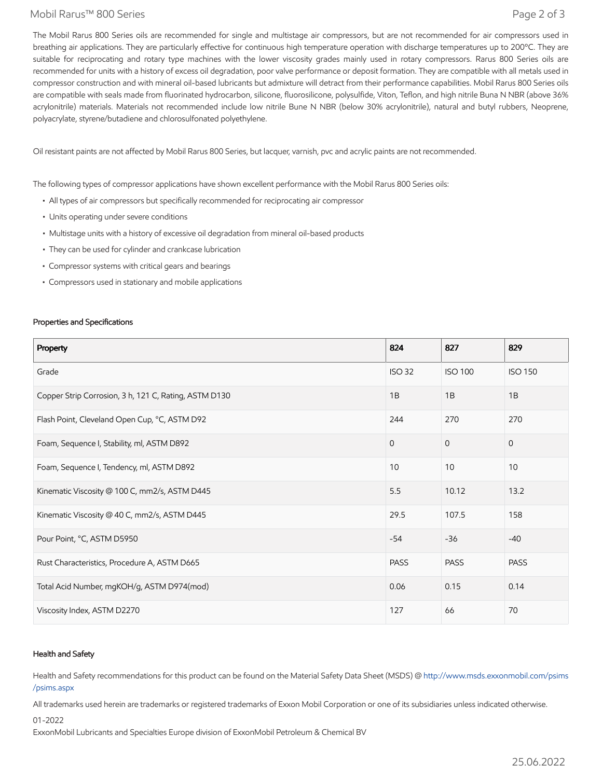#### Mobil Rarus™ 800 Series Page 2 of 3

The Mobil Rarus 800 Series oils are recommended for single and multistage air compressors, but are not recommended for air compressors used in breathing air applications. They are particularly effective for continuous high temperature operation with discharge temperatures up to 200°C. They are suitable for reciprocating and rotary type machines with the lower viscosity grades mainly used in rotary compressors. Rarus 800 Series oils are recommended for units with a history of excess oil degradation, poor valve performance or deposit formation. They are compatible with all metals used in compressor construction and with mineral oil-based lubricants but admixture will detract from their performance capabilities. Mobil Rarus 800 Series oils are compatible with seals made from fluorinated hydrocarbon, silicone, fluorosilicone, polysulfide, Viton, Teflon, and high nitrile Buna N NBR (above 36% acrylonitrile) materials. Materials not recommended include low nitrile Bune N NBR (below 30% acrylonitrile), natural and butyl rubbers, Neoprene, polyacrylate, styrene/butadiene and chlorosulfonated polyethylene.

Oil resistant paints are not affected by Mobil Rarus 800 Series, but lacquer, varnish, pvc and acrylic paints are not recommended.

The following types of compressor applications have shown excellent performance with the Mobil Rarus 800 Series oils:

- All types of air compressors but specifically recommended for reciprocating air compressor
- Units operating under severe conditions
- Multistage units with a history of excessive oil degradation from mineral oil-based products
- They can be used for cylinder and crankcase lubrication
- Compressor systems with critical gears and bearings
- Compressors used in stationary and mobile applications

#### Properties and Specifications

| Property                                              | 824           | 827            | 829            |
|-------------------------------------------------------|---------------|----------------|----------------|
| Grade                                                 | <b>ISO 32</b> | <b>ISO 100</b> | <b>ISO 150</b> |
| Copper Strip Corrosion, 3 h, 121 C, Rating, ASTM D130 | 1B            | 1B             | 1B             |
| Flash Point, Cleveland Open Cup, °C, ASTM D92         | 244           | 270            | 270            |
| Foam, Sequence I, Stability, ml, ASTM D892            | $\Omega$      | $\overline{0}$ | $\mathbf{0}$   |
| Foam, Sequence I, Tendency, ml, ASTM D892             | 10            | 10             | 10             |
| Kinematic Viscosity @ 100 C, mm2/s, ASTM D445         | 5.5           | 10.12          | 13.2           |
| Kinematic Viscosity @ 40 C, mm2/s, ASTM D445          | 29.5          | 107.5          | 158            |
| Pour Point, °C, ASTM D5950                            | $-54$         | $-36$          | $-40$          |
| Rust Characteristics, Procedure A, ASTM D665          | <b>PASS</b>   | <b>PASS</b>    | <b>PASS</b>    |
| Total Acid Number, mgKOH/g, ASTM D974(mod)            | 0.06          | 0.15           | 0.14           |
| Viscosity Index, ASTM D2270                           | 127           | 66             | 70             |

#### Health and Safety

Health and Safety recommendations for this product can be found on the Material Safety Data Sheet (MSDS) @ [http://www.msds.exxonmobil.com/psims](http://www.msds.exxonmobil.com/psims/psims.aspx) /psims.aspx

All trademarks used herein are trademarks or registered trademarks of Exxon Mobil Corporation or one of its subsidiaries unless indicated otherwise.

01-2022

ExxonMobil Lubricants and Specialties Europe division of ExxonMobil Petroleum & Chemical BV